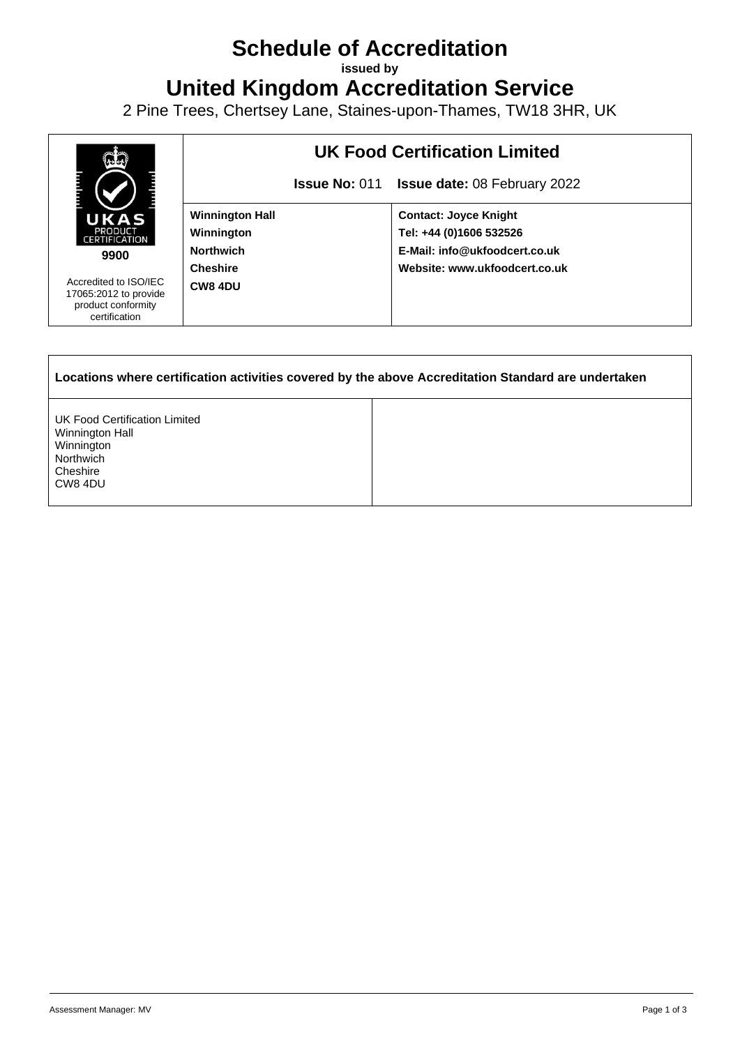## **Schedule of Accreditation**

**issued by**

**United Kingdom Accreditation Service**

2 Pine Trees, Chertsey Lane, Staines-upon-Thames, TW18 3HR, UK



UK Food Certification Limited Winnington Hall Winnington **Northwich Cheshire** CW8 4DU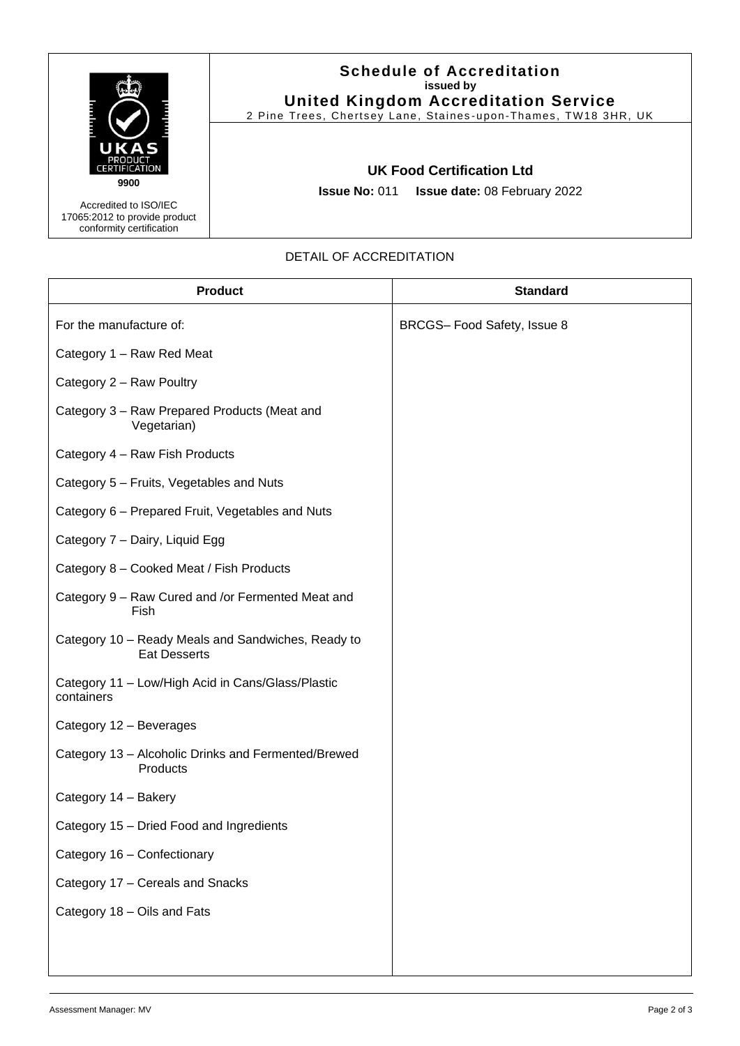

17065:2012 to provide product conformity certification

## **Schedule of Accreditation issued by United Kingdom Accreditation Service**

2 Pine Trees, Chertsey Lane, Staines -upon -Thames, TW18 3HR, UK

## **UK Food Certification Ltd**

**Issue No:** 011 **Issue date:** 08 February 2022

## DETAIL OF ACCREDITATION

| <b>Product</b>                                                            | <b>Standard</b>            |
|---------------------------------------------------------------------------|----------------------------|
| For the manufacture of:                                                   | BRCGS-Food Safety, Issue 8 |
| Category 1 - Raw Red Meat                                                 |                            |
| Category 2 - Raw Poultry                                                  |                            |
| Category 3 - Raw Prepared Products (Meat and<br>Vegetarian)               |                            |
| Category 4 - Raw Fish Products                                            |                            |
| Category 5 - Fruits, Vegetables and Nuts                                  |                            |
| Category 6 - Prepared Fruit, Vegetables and Nuts                          |                            |
| Category 7 - Dairy, Liquid Egg                                            |                            |
| Category 8 - Cooked Meat / Fish Products                                  |                            |
| Category 9 - Raw Cured and /or Fermented Meat and<br>Fish                 |                            |
| Category 10 - Ready Meals and Sandwiches, Ready to<br><b>Eat Desserts</b> |                            |
| Category 11 - Low/High Acid in Cans/Glass/Plastic<br>containers           |                            |
| Category 12 - Beverages                                                   |                            |
| Category 13 - Alcoholic Drinks and Fermented/Brewed<br>Products           |                            |
| Category 14 - Bakery                                                      |                            |
| Category 15 - Dried Food and Ingredients                                  |                            |
| Category 16 - Confectionary                                               |                            |
| Category 17 - Cereals and Snacks                                          |                            |
| Category 18 - Oils and Fats                                               |                            |
|                                                                           |                            |
|                                                                           |                            |